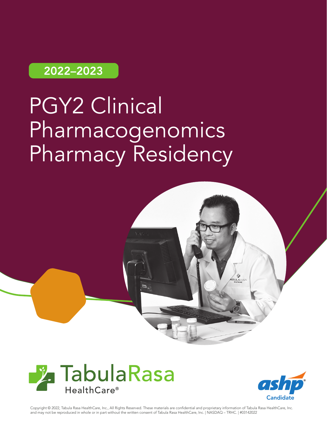# 2022–2023

# PGY2 Clinical Pharmacogenomics Pharmacy Residency







Copyright © 2022, Tabula Rasa HealthCare, Inc., All Rights Reserved. These materials are confidential and proprietary information of Tabula Rasa HealthCare, Inc. and may not be reproduced in whole or in part without the written consent of Tabula Rasa HealthCare, Inc. | NASDAQ – TRHC. | #03142022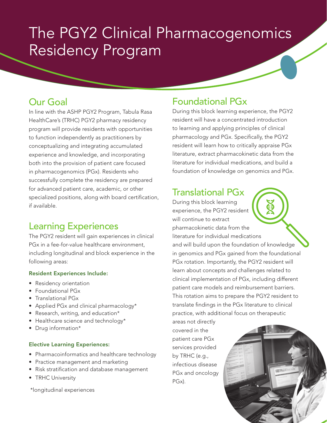# The PGY2 Clinical Pharmacogenomics Residency Program

#### Our Goal

In line with the ASHP PGY2 Program, Tabula Rasa HealthCare's (TRHC) PGY2 pharmacy residency program will provide residents with opportunities to function independently as practitioners by conceptualizing and integrating accumulated experience and knowledge, and incorporating both into the provision of patient care focused in pharmacogenomics (PGx). Residents who successfully complete the residency are prepared for advanced patient care, academic, or other specialized positions, along with board certification, if available.

### Learning Experiences

The PGY2 resident will gain experiences in clinical PGx in a fee-for-value healthcare environment, including longitudinal and block experience in the following areas:

#### Resident Experiences Include:

- Residency orientation
- Foundational PGx
- Translational PGx
- Applied PGx and clinical pharmacology\*
- Research, writing, and education\*
- Healthcare science and technology\*
- Drug information\*

#### Elective Learning Experiences:

- Pharmacoinformatics and healthcare technology
- Practice management and marketing
- Risk stratification and database management
- TRHC University

\*longitudinal experiences

#### Foundational PGx

During this block learning experience, the PGY2 resident will have a concentrated introduction to learning and applying principles of clinical pharmacology and PGx. Specifically, the PGY2 resident will learn how to critically appraise PGx literature, extract pharmacokinetic data from the literature for individual medications, and build a foundation of knowledge on genomics and PGx.

#### Translational PGx

During this block learning experience, the PGY2 resident will continue to extract pharmacokinetic data from the literature for individual medications and will build upon the foundation of knowledge in genomics and PGx gained from the foundational PGx rotation. Importantly, the PGY2 resident will learn about concepts and challenges related to clinical implementation of PGx, including different patient care models and reimbursement barriers. This rotation aims to prepare the PGY2 resident to translate findings in the PGx literature to clinical practice, with additional focus on therapeutic

areas not directly covered in the patient care PGx services provided by TRHC (e.g., infectious disease PGx and oncology PGx).

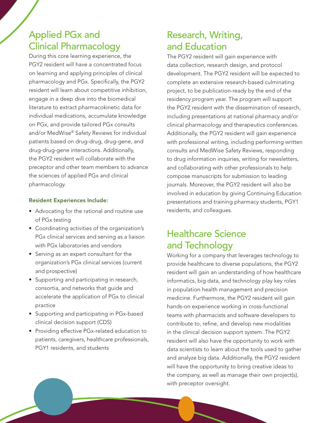#### Applied PGx and Clinical Pharmacology

During this core learning experience, the PGY2 resident will have a concentrated focus on learning and applying principles of clinical pharmacology and PGx. Specifically, the PGY2 resident will learn about competitive inhibition, engage in a deep dive into the biomedical literature to extract pharmacokinetic data for individual medications, accumulate knowledge on PGx, and provide tailored PGx consults and/or MedWise® Safety Reviews for individual patients based on drug-drug, drug-gene, and drug-drug-gene interactions. Additionally, the PGY2 resident will collaborate with the preceptor and other team members to advance the sciences of applied PGx and clinical pharmacology.

#### Resident Experiences Include:

- Advocating for the rational and routine use of PGx testing
- Coordinating activities of the organization's PGx clinical services and serving as a liaison with PGx laboratories and vendors
- Serving as an expert consultant for the organization's PGx clinical services (current and prospective)
- Supporting and participating in research, consortia, and networks that guide and accelerate the application of PGx to clinical practice
- Supporting and participating in PGx-based clinical decision support (CDS)
- Providing effective PGx-related education to patients, caregivers, healthcare professionals, PGY1 residents, and students

#### Research, Writing, and Education

The PGY2 resident will gain experience with data collection, research design, and protocol development. The PGY2 resident will be expected to complete an extensive research-based culminating project, to be publication-ready by the end of the residency program year. The program will support the PGY2 resident with the dissemination of research, including presentations at national pharmacy and/or clinical pharmacology and therapeutics conferences. Additionally, the PGY2 resident will gain experience with professional writing, including performing written consults and MedWise Safety Reviews, responding to drug information inquiries, writing for newsletters, and collaborating with other professionals to help compose manuscripts for submission to leading journals. Moreover, the PGY2 resident will also be involved in education by giving Continuing Education presentations and training pharmacy students, PGY1 residents, and colleagues.

#### Healthcare Science and Technology

Working for a company that leverages technology to provide healthcare to diverse populations, the PGY2 resident will gain an understanding of how healthcare informatics, big data, and technology play key roles in population health management and precision medicine. Furthermore, the PGY2 resident will gain hands-on experience working in cross-functional teams with pharmacists and software developers to contribute to, refine, and develop new modalities in the clinical decision support system. The PGY2 resident will also have the opportunity to work with data scientists to learn about the tools used to gather and analyze big data. Additionally, the PGY2 resident will have the opportunity to bring creative ideas to the company, as well as manage their own project(s), with preceptor oversight.